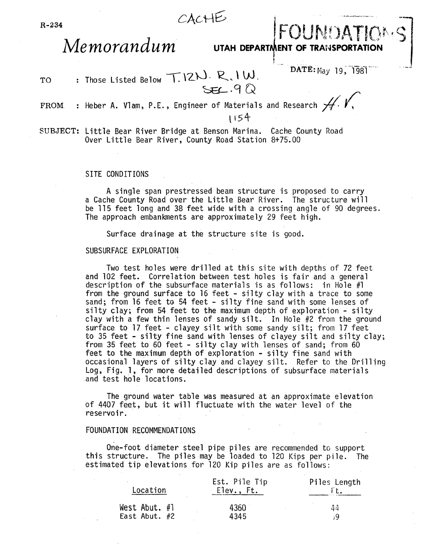

# **Memorandum** UTAH DEPARTMENT OF TRANSPORTATIO

!

TO Those Listed Below  $T.12N. R.1W.$ <br>SEL.9Q DATE: May 19, 1981

#### FROM : Heber A. Vlam, P.E., Engineer of Materials and Research  $H$ .

\154-

SUBJECT: Little Bear River Bridge at Benson Marina. Cache County Road Over Little Bear River, County Road Station 8+75.00

#### SITE CONDITIONS

A single span prestressed beam structure is proposed to carry a Cache County Road over the Little Bear River. The structure will be 115 feet long and 38 feet wide with a crossing angle of 90 degrees. The approach embankments are approximately 29 feet high.

Surface drainage at the structure site is good.

#### SUBSURFACE EXPLORATION

Two test holes were drilled at this site with depths of 72 feet and 102 feet. Correlation between test holes is fair and a general description of the subsurface materials is as follows: in Hole #1 from the ground surface to 16 feet - silty clay with a trace to some sand; from 16 feet to 54 feet - silty fine sand with some lenses of silty clay; from 54 feet to the maximum depth of exploration - silty clay with a few thin lenses of sandy silt. In Hole #2 from the ground surface to 17 feet - clayey silt with some sandy silt; from 17 feet<br>to 35 feet - silty fine sand with lenses of clayey silt and silty clay; from 35 feet to 60 feet - silty clay with lenses of sand; from 60 feet to the maximum depth of exploration - silty fine sand with occasional layers of silty clay and clayey silt. Refer to the Drilling Log, Fig. 1, for more detailed descriptions of subsurface materials and test hole locations.

The ground water table was measured at an approximate elevation of 4407 feet, but it will fluctuate with the water level of the reservoir.

#### FOUNDATION RECOMMENDATIONS

One-foot diameter steel pipe piles are recommended to support this structure. The piles may be loaded to 120 Kips per pile. The estimated tip elevations for 120 Kip piles are as follows:

| Location        | Est. Pile Tip<br>Elev., Ft. | Piles Length |
|-----------------|-----------------------------|--------------|
| West Abut. $#1$ | 4360                        | 44           |
| East Abut. $#2$ | 4345                        | - i Q        |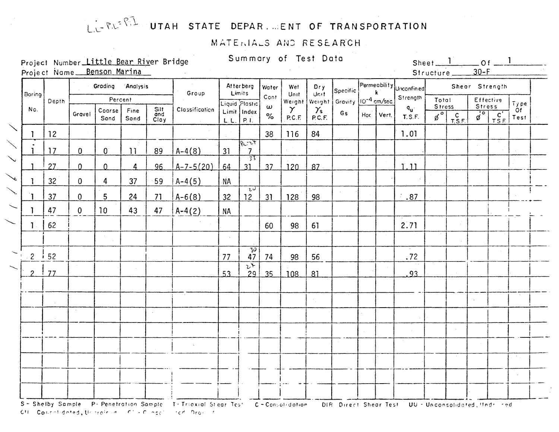## LIFRERT UTAH STATE DEPAR. ENT OF TRANSPORTATION

### MATERIALS AND RESEARCH

Project Number Little Bear River Bridge Project Name Benson Marina

CH Contentidented, the train of C.C. C. edge: Internet Praise

Summary of Test Data

Sheet  $1$  of  $1$  $30-F$ Structure

| Boring       |             |              | Grading        | Analysis     |                     | Group           |                 | Atterberg<br>Limits                 | Water            | Wet<br>Unit        | Dry<br>Unit                | Specific!                               |      |       | $\left \begin{array}{c} \mathsf{Permeability} \\ \mathsf{k} \end{array}\right $ Unconfined |                           |                |                                | Shear Strength                                                  |                                |
|--------------|-------------|--------------|----------------|--------------|---------------------|-----------------|-----------------|-------------------------------------|------------------|--------------------|----------------------------|-----------------------------------------|------|-------|--------------------------------------------------------------------------------------------|---------------------------|----------------|--------------------------------|-----------------------------------------------------------------|--------------------------------|
|              | Depth       |              | Percent        |              |                     |                 |                 | Liquid Plastic                      | Cont<br>$\omega$ | Weight             |                            | Weight Gravity 10 <sup>-4</sup> cm/sec. |      |       | Strength                                                                                   | Total<br><b>Stress</b>    |                | <b>Stress</b>                  | Effective                                                       | Type                           |
| No.          |             | Gravel       | Coarse<br>Sand | Fine<br>Sand | Silt<br>and<br>Clay | Classification  | L.L.            | Limit Index<br>P.1.                 | $\%$             | $\gamma$<br>P.C.F. | $\gamma_{\rm s}$<br>P.C.F. | Gs                                      | Hor. | Vert. | $\mathsf{q}_{\mathsf{u}^+}$<br><b>T.S.F.</b>                                               | $\overline{\phi}^{\circ}$ | $C$<br>$T.S.F$ | $\overline{\phi}$ <sup>o</sup> | $\overline{c'}$<br>$\overline{r}$ $\overline{s}$ $\overline{r}$ | Of<br>Test                     |
| 1.           | 12          |              |                |              |                     |                 |                 |                                     | 38               | 116                | 84                         |                                         |      |       | 1.01                                                                                       |                           |                |                                |                                                                 |                                |
|              | 17          | $\mathbf 0$  | $\mathbf{0}$   | 11           | 89                  | $A-4(8)$        | 31              | $R_{c}$ , $2F$<br>7 <sup>1</sup>    |                  |                    |                            |                                         |      |       |                                                                                            |                           |                |                                |                                                                 |                                |
|              | 27          | $\Omega$     | $\Omega$       | 4            | 96                  | $A - 7 - 5(20)$ | 64              | $\frac{1}{3}$<br>31                 | 37               | 120                | 87                         |                                         |      |       | 1.11                                                                                       |                           |                |                                |                                                                 |                                |
|              | 32          | $\mathbf 0$  | 4              | 37           | 59                  | $A-4(5)$        | <b>NA</b>       |                                     |                  |                    |                            |                                         |      |       |                                                                                            |                           |                |                                |                                                                 |                                |
|              | 37          | $\mathbf 0$  | 5              | 24           | 71                  | $A-6(8)$        | 32 <sup>°</sup> | $\overline{z}\overline{v}$<br>12    | 31               | 128                | 98                         |                                         |      |       | .87                                                                                        |                           |                |                                |                                                                 |                                |
|              | 47          | $\mathbf{0}$ | 10             | 43           | 47                  | $A-4(2)$        | <b>NA</b>       |                                     |                  |                    |                            |                                         |      |       |                                                                                            |                           |                |                                |                                                                 |                                |
| $\mathbf{1}$ | 62          |              |                |              |                     |                 |                 |                                     | 60               | 98                 | 61                         |                                         |      |       | 2.71                                                                                       |                           |                |                                |                                                                 |                                |
|              |             |              |                |              |                     |                 | $\Delta \sim$   |                                     |                  |                    |                            |                                         |      |       |                                                                                            |                           |                |                                |                                                                 |                                |
|              | $2 \div 52$ |              |                |              |                     |                 | 77              | $\overline{30}$<br>47               | 74               | 98                 | 56                         |                                         |      |       | .72                                                                                        |                           |                |                                |                                                                 |                                |
| $\ddot{}$    | 77          |              |                |              |                     |                 | 53              | $\overline{\nu}$<br>29 <sup>1</sup> | 35               | 108                | 81                         |                                         |      |       | 93                                                                                         |                           |                |                                |                                                                 |                                |
|              |             |              |                |              |                     |                 |                 |                                     |                  |                    |                            |                                         |      |       |                                                                                            |                           |                |                                |                                                                 |                                |
|              |             |              |                |              |                     |                 |                 |                                     |                  |                    |                            |                                         |      |       |                                                                                            |                           |                |                                |                                                                 |                                |
|              |             |              |                |              |                     |                 |                 |                                     |                  |                    |                            |                                         |      |       |                                                                                            |                           |                |                                |                                                                 |                                |
|              |             |              |                |              |                     |                 |                 |                                     |                  |                    |                            |                                         |      |       |                                                                                            |                           |                |                                |                                                                 |                                |
|              |             |              |                |              |                     |                 |                 |                                     |                  |                    |                            |                                         |      |       |                                                                                            |                           |                |                                |                                                                 |                                |
|              |             |              |                |              |                     |                 |                 |                                     |                  |                    |                            |                                         |      |       |                                                                                            |                           |                |                                |                                                                 | $\langle S_{\rm{eff}} \rangle$ |
|              |             |              |                |              |                     |                 |                 |                                     |                  |                    |                            |                                         |      |       |                                                                                            |                           |                |                                |                                                                 |                                |
|              |             |              |                |              |                     |                 |                 |                                     |                  |                    |                            |                                         |      |       |                                                                                            |                           |                |                                |                                                                 |                                |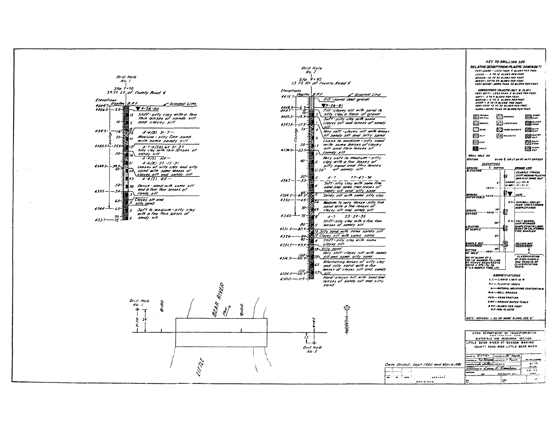